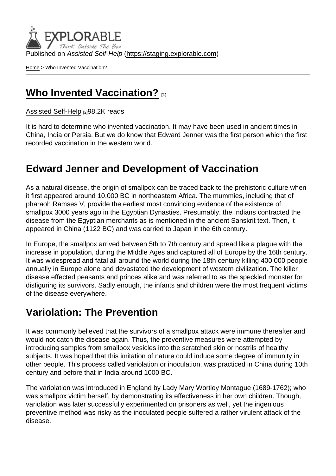Published on Assisted Self-Help [\(https://staging.explorable.com](https://staging.explorable.com))

[Home](https://staging.explorable.com/en) > Who Invented Vaccination?

# [Who Invented Vaccination?](https://staging.explorable.com/en/who-invented-vaccination) [1]

[Assisted Self-Help](https://staging.explorable.com/en) [2]98.2K reads

It is hard to determine who invented vaccination. It may have been used in ancient times in China, India or Persia. But we do know that Edward Jenner was the first person which the first recorded vaccination in the western world.

### Edward Jenner and Development of Vaccination

As a natural disease, the origin of smallpox can be traced back to the prehistoric culture when it first appeared around 10,000 BC in northeastern Africa. The mummies, including that of pharaoh Ramses V, provide the earliest most convincing evidence of the existence of smallpox 3000 years ago in the Egyptian Dynasties. Presumably, the Indians contracted the disease from the Egyptian merchants as is mentioned in the ancient Sanskrit text. Then, it appeared in China (1122 BC) and was carried to Japan in the 6th century.

In Europe, the smallpox arrived between 5th to 7th century and spread like a plague with the increase in population, during the Middle Ages and captured all of Europe by the 16th century. It was widespread and fatal all around the world during the 18th century killing 400,000 people annually in Europe alone and devastated the development of western civilization. The killer disease effected peasants and princes alike and was referred to as the speckled monster for disfiguring its survivors. Sadly enough, the infants and children were the most frequent victims of the disease everywhere.

# Variolation: The Prevention

It was commonly believed that the survivors of a smallpox attack were immune thereafter and would not catch the disease again. Thus, the preventive measures were attempted by introducing samples from smallpox vesicles into the scratched skin or nostrils of healthy subjects. It was hoped that this imitation of nature could induce some degree of immunity in other people. This process called variolation or inoculation, was practiced in China during 10th century and before that in India around 1000 BC.

The variolation was introduced in England by Lady Mary Wortley Montague (1689-1762); who was smallpox victim herself, by demonstrating its effectiveness in her own children. Though, variolation was later successfully experimented on prisoners as well, yet the ingenious preventive method was risky as the inoculated people suffered a rather virulent attack of the disease.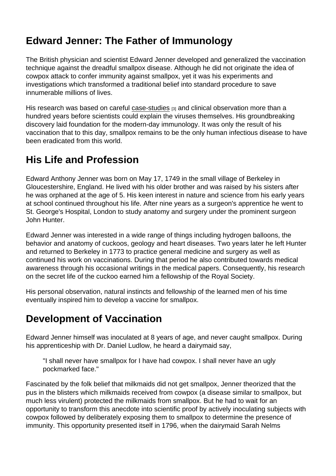# Edward Jenner: The Father of Immunology

The British physician and scientist Edward Jenner developed and generalized the vaccination technique against the dreadful smallpox disease. Although he did not originate the idea of cowpox attack to confer immunity against smallpox, yet it was his experiments and investigations which transformed a traditional belief into standard procedure to save innumerable millions of lives.

His research was based on careful [case-studies](https://staging.explorable.com/case-study-research-design) [3] and clinical observation more than a hundred years before scientists could explain the viruses themselves. His groundbreaking discovery laid foundation for the modern-day immunology. It was only the result of his vaccination that to this day, smallpox remains to be the only human infectious disease to have been eradicated from this world.

# His Life and Profession

Edward Anthony Jenner was born on May 17, 1749 in the small village of Berkeley in Gloucestershire, England. He lived with his older brother and was raised by his sisters after he was orphaned at the age of 5. His keen interest in nature and science from his early years at school continued throughout his life. After nine years as a surgeon's apprentice he went to St. George's Hospital, London to study anatomy and surgery under the prominent surgeon John Hunter.

Edward Jenner was interested in a wide range of things including hydrogen balloons, the behavior and anatomy of cuckoos, geology and heart diseases. Two years later he left Hunter and returned to Berkeley in 1773 to practice general medicine and surgery as well as continued his work on vaccinations. During that period he also contributed towards medical awareness through his occasional writings in the medical papers. Consequently, his research on the secret life of the cuckoo earned him a fellowship of the Royal Society.

His personal observation, natural instincts and fellowship of the learned men of his time eventually inspired him to develop a vaccine for smallpox.

# Development of Vaccination

Edward Jenner himself was inoculated at 8 years of age, and never caught smallpox. During his apprenticeship with Dr. Daniel Ludlow, he heard a dairymaid say,

"I shall never have smallpox for I have had cowpox. I shall never have an ugly pockmarked face."

Fascinated by the folk belief that milkmaids did not get smallpox, Jenner theorized that the pus in the blisters which milkmaids received from cowpox (a disease similar to smallpox, but much less virulent) protected the milkmaids from smallpox. But he had to wait for an opportunity to transform this anecdote into scientific proof by actively inoculating subjects with cowpox followed by deliberately exposing them to smallpox to determine the presence of immunity. This opportunity presented itself in 1796, when the dairymaid Sarah Nelms